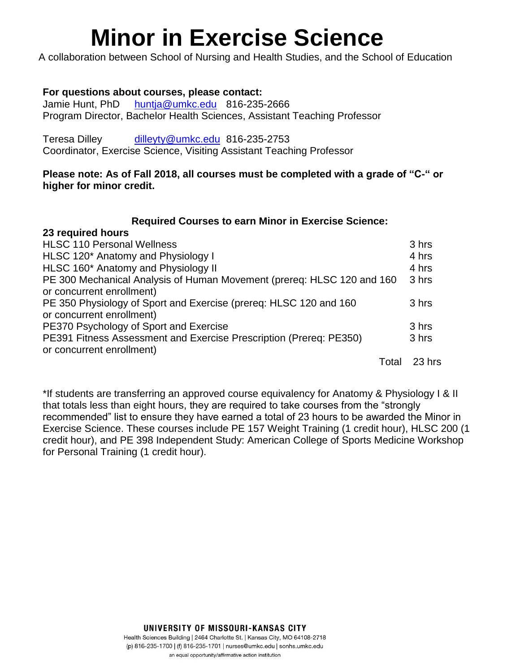# **Minor in Exercise Science**

A collaboration between School of Nursing and Health Studies, and the School of Education

# **For questions about courses, please contact:**

**23 required hours**

Jamie Hunt, PhD [huntja@umkc.edu](mailto:huntja@umkc.edu) 816-235-2666 Program Director, Bachelor Health Sciences, Assistant Teaching Professor

Teresa Dilley [dilleyty@umkc.edu](mailto:dilleyty@umkc.edu) 816-235-2753 Coordinator, Exercise Science, Visiting Assistant Teaching Professor

# **Please note: As of Fall 2018, all courses must be completed with a grade of "C-" or higher for minor credit.**

#### **Required Courses to earn Minor in Exercise Science:**

| ZJ I GUUII GU TIUUI S                                                  |       |        |
|------------------------------------------------------------------------|-------|--------|
| <b>HLSC 110 Personal Wellness</b>                                      |       | 3 hrs  |
| HLSC 120* Anatomy and Physiology I                                     |       | 4 hrs  |
| HLSC 160* Anatomy and Physiology II                                    |       | 4 hrs  |
| PE 300 Mechanical Analysis of Human Movement (prereq: HLSC 120 and 160 |       | 3 hrs  |
| or concurrent enrollment)                                              |       |        |
| PE 350 Physiology of Sport and Exercise (prereq: HLSC 120 and 160      |       | 3 hrs  |
| or concurrent enrollment)                                              |       |        |
| PE370 Psychology of Sport and Exercise                                 |       | 3 hrs  |
| PE391 Fitness Assessment and Exercise Prescription (Prereq: PE350)     |       | 3 hrs  |
| or concurrent enrollment)                                              |       |        |
|                                                                        | Total | 23 hrs |

\*If students are transferring an approved course equivalency for Anatomy & Physiology I & II that totals less than eight hours, they are required to take courses from the "strongly recommended" list to ensure they have earned a total of 23 hours to be awarded the Minor in Exercise Science. These courses include PE 157 Weight Training (1 credit hour), HLSC 200 (1 credit hour), and PE 398 Independent Study: American College of Sports Medicine Workshop for Personal Training (1 credit hour).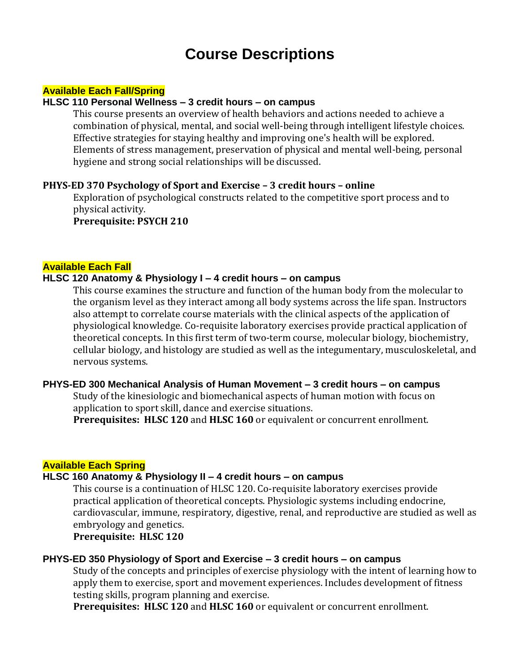# **Course Descriptions**

#### **Available Each Fall/Spring**

#### **HLSC 110 Personal Wellness – 3 credit hours – on campus**

This course presents an overview of health behaviors and actions needed to achieve a combination of physical, mental, and social well-being through intelligent lifestyle choices. Effective strategies for staying healthy and improving one's health will be explored. Elements of stress management, preservation of physical and mental well-being, personal hygiene and strong social relationships will be discussed.

#### **PHYS-ED 370 Psychology of Sport and Exercise – 3 credit hours – online**

Exploration of psychological constructs related to the competitive sport process and to physical activity.

**Prerequisite: PSYCH 210**

#### **Available Each Fall**

#### **HLSC 120 Anatomy & Physiology I – 4 credit hours – on campus**

This course examines the structure and function of the human body from the molecular to the organism level as they interact among all body systems across the life span. Instructors also attempt to correlate course materials with the clinical aspects of the application of physiological knowledge. Co-requisite laboratory exercises provide practical application of theoretical concepts. In this first term of two-term course, molecular biology, biochemistry, cellular biology, and histology are studied as well as the integumentary, musculoskeletal, and nervous systems.

#### **PHYS-ED 300 Mechanical Analysis of Human Movement – 3 credit hours – on campus**

Study of the kinesiologic and biomechanical aspects of human motion with focus on application to sport skill, dance and exercise situations.

**Prerequisites: HLSC 120** and **HLSC 160** or equivalent or concurrent enrollment.

#### **Available Each Spring**

# **HLSC 160 Anatomy & Physiology II – 4 credit hours – on campus**

This course is a continuation of HLSC 120. Co-requisite laboratory exercises provide practical application of theoretical concepts. Physiologic systems including endocrine, cardiovascular, immune, respiratory, digestive, renal, and reproductive are studied as well as embryology and genetics.

**Prerequisite: HLSC 120**

#### **PHYS-ED 350 Physiology of Sport and Exercise – 3 credit hours – on campus**

Study of the concepts and principles of exercise physiology with the intent of learning how to apply them to exercise, sport and movement experiences. Includes development of fitness testing skills, program planning and exercise.

**Prerequisites: HLSC 120** and **HLSC 160** or equivalent or concurrent enrollment.